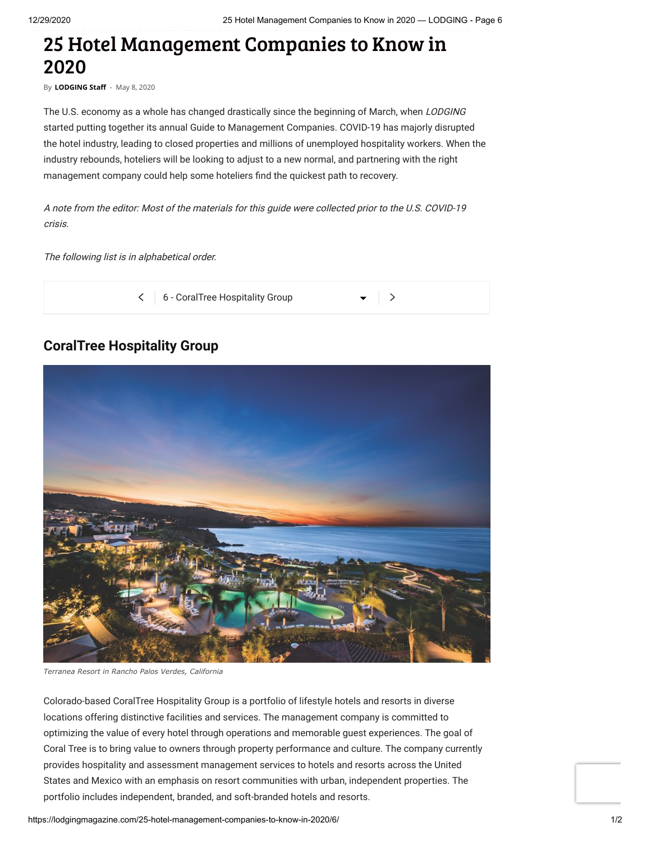## 25 Hotel Management Companies to Know in 2020

By [LODGING](https://lodgingmagazine.com/author/admin/) Staff - May 8, 2020

The U.S. economy as a whole has changed drastically since the beginning of March, when LODGING started putting together its annual Guide to Management Companies. COVID-19 has majorly disrupted the hotel industry, leading to closed properties and millions of unemployed hospitality workers. When the industry rebounds, hoteliers will be looking to adjust to a new normal, and partnering with the right management company could help some hoteliers find the quickest path to recovery.

A note from the editor: Most of the materials for this guide were collected prior to the U.S. COVID-19 crisis.

The following list is in alphabetical order.



## **CoralTree Hospitality Group**



*Terranea Resort in Rancho Palos Verdes, California*

Colorado-based CoralTree Hospitality Group is a portfolio of lifestyle hotels and resorts in diverse locations offering distinctive facilities and services. The management company is committed to optimizing the value of every hotel through operations and memorable guest experiences. The goal of Coral Tree is to bring value to owners through property performance and culture. The company currently provides hospitality and assessment management services to hotels and resorts across the United States and Mexico with an emphasis on resort communities with urban, independent properties. The portfolio includes independent, branded, and soft-branded hotels and resorts.